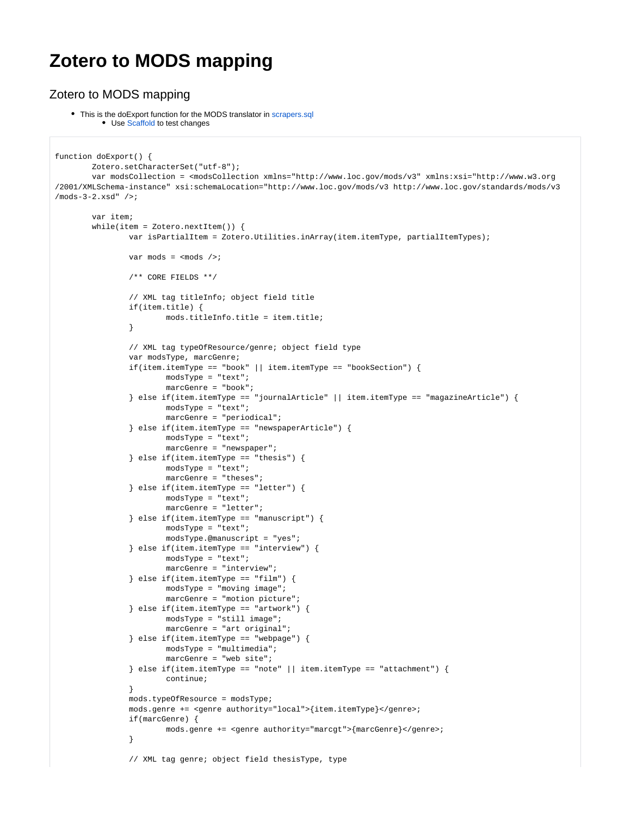## **Zotero to MODS mapping**

## Zotero to MODS mapping

• This is the doExport function for the MODS translator in [scrapers.sql](https://www.zotero.org/trac/browser/extension/trunk/scrapers.sql) • Use [Scaffold](http://dev.zotero.org/scaffold_tutorial) to test changes

```
function doExport() {
        Zotero.setCharacterSet("utf-8");
        var modsCollection = <modsCollection xmlns="http://www.loc.gov/mods/v3" xmlns:xsi="http://www.w3.org
/2001/XMLSchema-instance" xsi:schemaLocation="http://www.loc.gov/mods/v3 http://www.loc.gov/standards/mods/v3
/mods-3-2.xsd" />;
        var item;
        while(item = Zotero.nextItem()) {
                var isPartialItem = Zotero.Utilities.inArray(item.itemType, partialItemTypes);
               var mods = <mods />;
                 /** CORE FIELDS **/
                // XML tag titleInfo; object field title
                if(item.title) {
                        mods.titleInfo.title = item.title;
 }
                 // XML tag typeOfResource/genre; object field type
                 var modsType, marcGenre;
                 if(item.itemType == "book" || item.itemType == "bookSection") {
                         modsType = "text";
                         marcGenre = "book";
                 } else if(item.itemType == "journalArticle" || item.itemType == "magazineArticle") {
                         modsType = "text";
                         marcGenre = "periodical";
                 } else if(item.itemType == "newspaperArticle") {
                         modsType = "text";
                         marcGenre = "newspaper";
                \} else if(item.itemType == "thesis") {
                         modsType = "text";
                         marcGenre = "theses";
                 } else if(item.itemType == "letter") {
                         modsType = "text";
                         marcGenre = "letter";
                \} else if(item.itemType == "manuscript") {
                         modsType = "text";
                         modsType.@manuscript = "yes";
                 } else if(item.itemType == "interview") {
                         modsType = "text";
                         marcGenre = "interview";
                 } else if(item.itemType == "film") {
                         modsType = "moving image";
                         marcGenre = "motion picture";
                \} else if(item.itemType == "artwork") {
                         modsType = "still image";
                         marcGenre = "art original";
                 } else if(item.itemType == "webpage") {
                         modsType = "multimedia";
                         marcGenre = "web site";
                } else if(item.itemType == "note" || item.itemType == "attachment") {
                         continue;
 }
                mods.typeOfResource = modsType;
                 mods.genre += <genre authority="local">{item.itemType}</genre>;
                if(marcGenre) {
                         mods.genre += <genre authority="marcgt">{marcGenre}</genre>;
 }
                 // XML tag genre; object field thesisType, type
```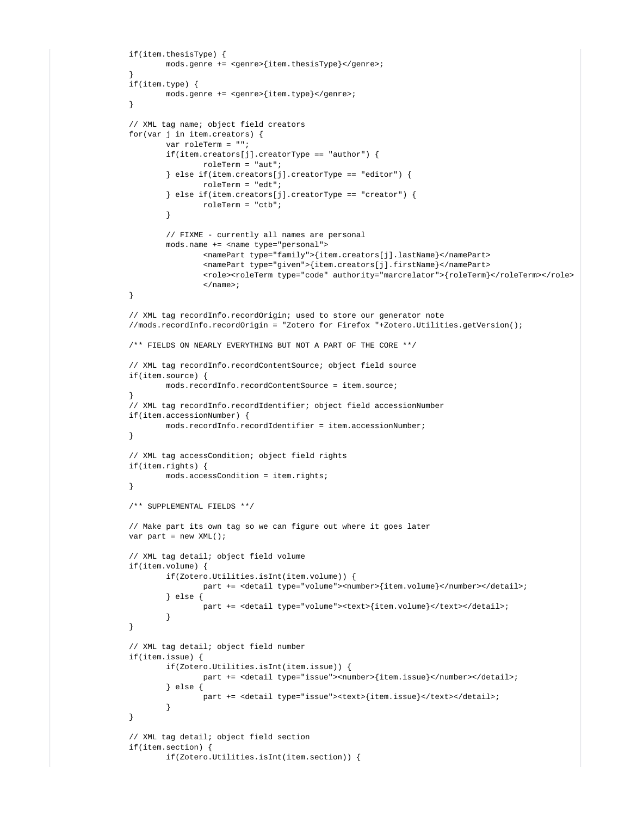```
 if(item.thesisType) {
                       mods.genre += <genre>{item.thesisType}</genre>;
 }
               if(item.type) {
                       mods.genre += <genre>{item.type}</genre>;
 }
               // XML tag name; object field creators
               for(var j in item.creators) {
                       var roleTerm = "";
                       if(item.creators[j].creatorType == "author") {
                              roleTerm = "aut";
                       } else if(item.creators[j].creatorType == "editor") {
                              roleTerm = "edt";
                       } else if(item.creators[j].creatorType == "creator") {
                              roleTerm = "ctb";
 }
                       // FIXME - currently all names are personal
                       mods.name += <name type="personal">
                              <namePart type="family">{item.creators[j].lastName}</namePart>
                              <namePart type="given">{item.creators[j].firstName}</namePart>
                              <role><roleTerm type="code" authority="marcrelator">{roleTerm}</roleTerm></role>
                              </name>;
 }
               // XML tag recordInfo.recordOrigin; used to store our generator note
               //mods.recordInfo.recordOrigin = "Zotero for Firefox "+Zotero.Utilities.getVersion();
               /** FIELDS ON NEARLY EVERYTHING BUT NOT A PART OF THE CORE **/
               // XML tag recordInfo.recordContentSource; object field source
               if(item.source) {
                       mods.recordInfo.recordContentSource = item.source;
 }
               // XML tag recordInfo.recordIdentifier; object field accessionNumber
               if(item.accessionNumber) {
                      mods.recordInfo.recordIdentifier = item.accessionNumber;
 }
               // XML tag accessCondition; object field rights
               if(item.rights) {
                       mods.accessCondition = item.rights;
 }
               /** SUPPLEMENTAL FIELDS **/
               // Make part its own tag so we can figure out where it goes later
              var part = new XML();
               // XML tag detail; object field volume
               if(item.volume) {
                       if(Zotero.Utilities.isInt(item.volume)) {
                              part += <detail type="volume"><number>{item.volume}</number></detail>;
                       } else {
                             part += <detail type="volume"><text>{item.volume}</text></detail>;
 }
 }
               // XML tag detail; object field number
               if(item.issue) {
                       if(Zotero.Utilities.isInt(item.issue)) {
                             part += <detail type="issue"><number>{item.issue}</number></detail>;
                       } else {
                             part += <detail type="issue"><text>{item.issue}</text></detail>;
 }
 }
               // XML tag detail; object field section
               if(item.section) {
                       if(Zotero.Utilities.isInt(item.section)) {
```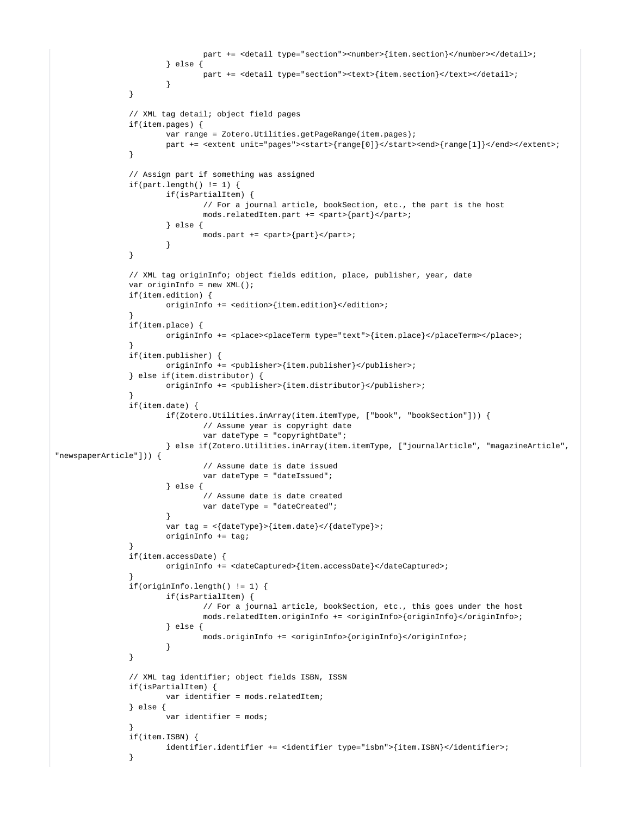```
 part += <detail type="section"><number>{item.section}</number></detail>;
                       } else {
                              part += <detail type="section"><text>{item.section}</text></detail>;
 }
 }
               // XML tag detail; object field pages
               if(item.pages) {
                      var range = Zotero.Utilities.getPageRange(item.pages);
                     part += <extent unit="pages"><start>{range[0]}</start><end>{range[1]}</end></extent>;
 }
               // Assign part if something was assigned
              if(part.length() != 1) if(isPartialItem) {
                              // For a journal article, bookSection, etc., the part is the host
                              mods.relatedItem.part += <part>{part}</part>;
                       } else {
                             mods.path += <part>{part}</part>;
 }
 }
               // XML tag originInfo; object fields edition, place, publisher, year, date
               var originInfo = new XML();
               if(item.edition) {
                      originInfo += <edition>{item.edition}</edition>;
 }
               if(item.place) {
                      originInfo += <place><placeTerm type="text">{item.place}</placeTerm></place>;
 }
               if(item.publisher) {
                       originInfo += <publisher>{item.publisher}</publisher>;
               } else if(item.distributor) {
                       originInfo += <publisher>{item.distributor}</publisher>;
 }
               if(item.date) {
                       if(Zotero.Utilities.inArray(item.itemType, ["book", "bookSection"])) {
                              // Assume year is copyright date
                              var dateType = "copyrightDate";
                       } else if(Zotero.Utilities.inArray(item.itemType, ["journalArticle", "magazineArticle", 
"newspaperArticle"])) {
                              // Assume date is date issued
                              var dateType = "dateIssued";
                       } else {
                              // Assume date is date created
                              var dateType = "dateCreated";
 }
                      var tag = <{dateType}>{item.date}</{dateType}>;
                      originInfo += tag;
 }
               if(item.accessDate) {
                      originInfo += <dateCaptured>{item.accessDate}</dateCaptured>;
 }
               if(originInfo.length() != 1) {
                      if(isPartialItem) {
                              // For a journal article, bookSection, etc., this goes under the host
                              mods.relatedItem.originInfo += <originInfo>{originInfo}</originInfo>;
                       } else {
                              mods.originInfo += <originInfo>{originInfo}</originInfo>;
 }
 }
               // XML tag identifier; object fields ISBN, ISSN
               if(isPartialItem) {
                      var identifier = mods.relatedItem;
               } else {
                      var identifier = mods;
 }
               if(item.ISBN) {
                       identifier.identifier += <identifier type="isbn">{item.ISBN}</identifier>;
 }
```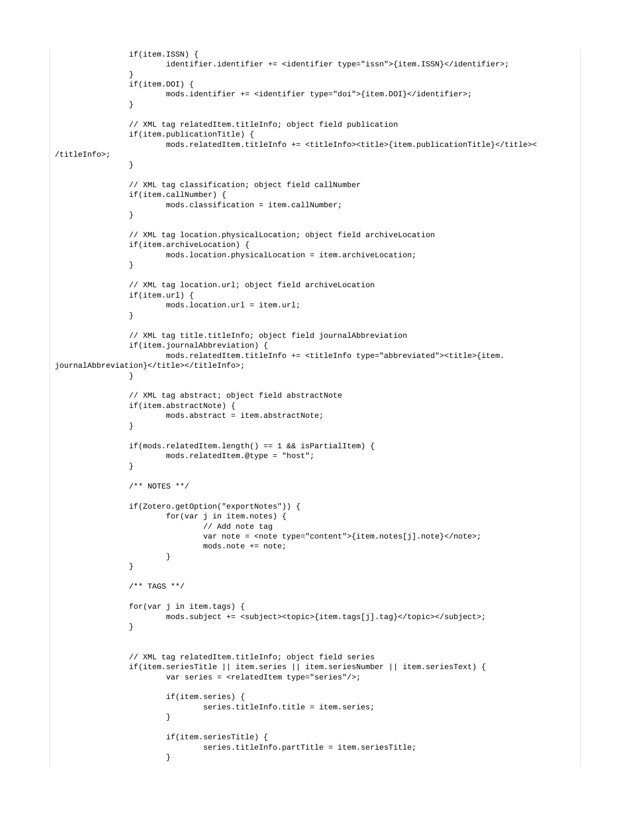```
 if(item.ISSN) {
                     identifier.identifier += <identifier type="issn">{item.ISSN}</identifier>;
 }
               if(item.DOI) {
                      mods.identifier += <identifier type="doi">{item.DOI}</identifier>;
 }
               // XML tag relatedItem.titleInfo; object field publication
               if(item.publicationTitle) {
                      mods.relatedItem.titleInfo += <titleInfo><title>{item.publicationTitle}</title><
/titleInfo>;
 }
               // XML tag classification; object field callNumber
               if(item.callNumber) {
                      mods.classification = item.callNumber;
 }
               // XML tag location.physicalLocation; object field archiveLocation
               if(item.archiveLocation) {
                      mods.location.physicalLocation = item.archiveLocation;
 }
               // XML tag location.url; object field archiveLocation
               if(item.url) {
                      mods.location.url = item.url;
 }
               // XML tag title.titleInfo; object field journalAbbreviation
               if(item.journalAbbreviation) {
                      mods.relatedItem.titleInfo += <titleInfo type="abbreviated"><title>{item.
journalAbbreviation}</title></titleInfo>;
 }
               // XML tag abstract; object field abstractNote
               if(item.abstractNote) {
                      mods.abstract = item.abstractNote;
 }
               if(mods.relatedItem.length() == 1 && isPartialItem) {
                      mods.relatedItem.@type = "host";
 }
               /** NOTES **/
               if(Zotero.getOption("exportNotes")) {
                      for(var j in item.notes) {
                             // Add note tag
                            var note = <note type="content">{item.notes[j].note}</note>;
                             mods.note += note;
 }
 }
               /** TAGS **/
               for(var j in item.tags) {
                     mods.subject += <subject><topic>{item.tags[j].tag}</topic></subject>;
 }
               // XML tag relatedItem.titleInfo; object field series
               if(item.seriesTitle || item.series || item.seriesNumber || item.seriesText) {
                      var series = <relatedItem type="series"/>;
                      if(item.series) {
                            series.titleInfo.title = item.series;
 }
                      if(item.seriesTitle) {
                             series.titleInfo.partTitle = item.seriesTitle;
 }
```